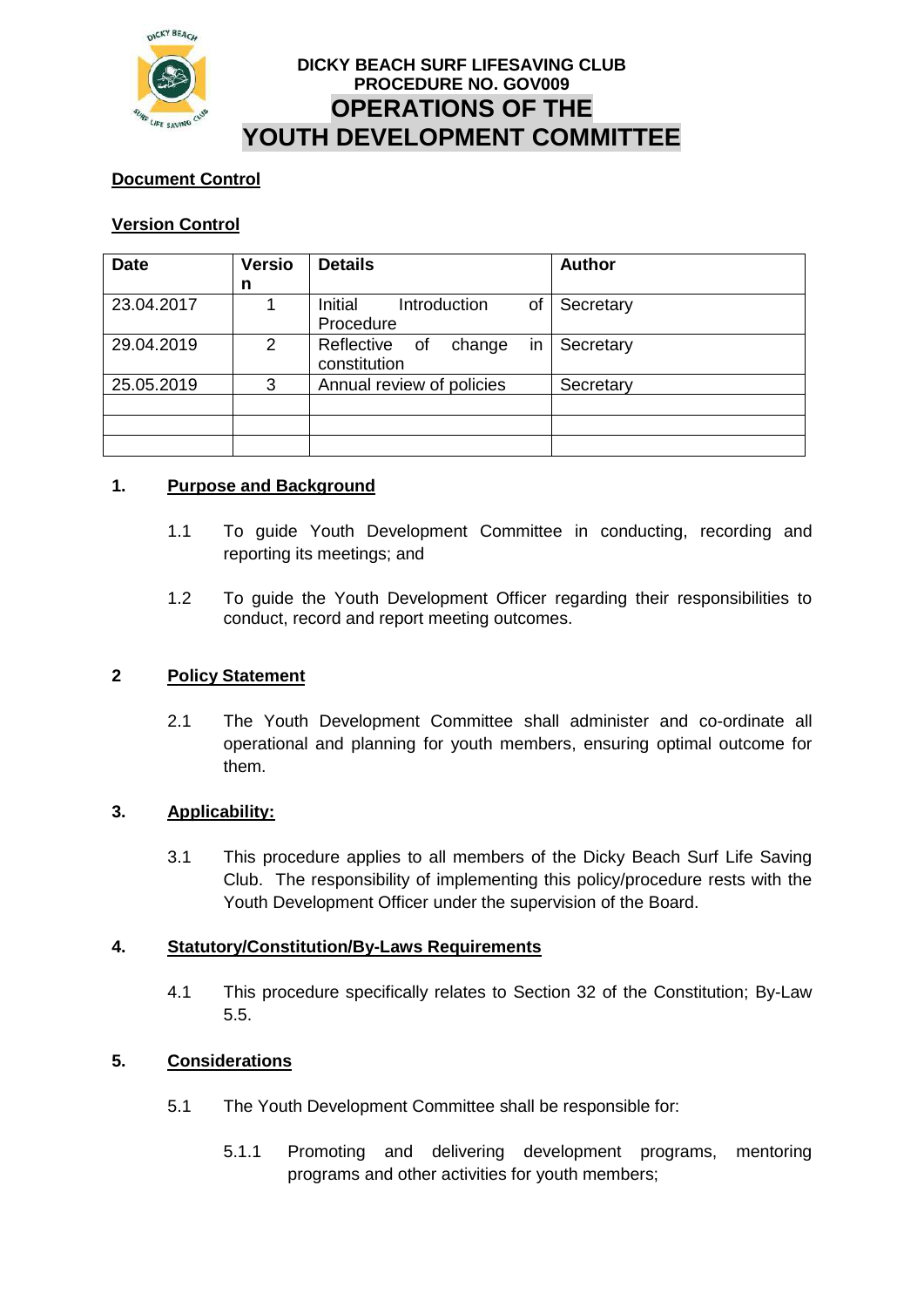

# **DICKY BEACH SURF LIFESAVING CLUB PROCEDURE NO. GOV009 OPERATIONS OF THE YOUTH DEVELOPMENT COMMITTEE**

## **Document Control**

## **Version Control**

| <b>Date</b> | <b>Versio</b>  | <b>Details</b>                                | <b>Author</b> |
|-------------|----------------|-----------------------------------------------|---------------|
|             | n              |                                               |               |
| 23.04.2017  |                | Initial<br>Introduction<br>of<br>Procedure    | Secretary     |
| 29.04.2019  | $\overline{2}$ | in<br>Reflective of<br>change<br>constitution | Secretary     |
| 25.05.2019  | 3              | Annual review of policies                     | Secretary     |
|             |                |                                               |               |
|             |                |                                               |               |

## **1. Purpose and Background**

- 1.1 To guide Youth Development Committee in conducting, recording and reporting its meetings; and
- 1.2 To guide the Youth Development Officer regarding their responsibilities to conduct, record and report meeting outcomes.

#### **2 Policy Statement**

2.1 The Youth Development Committee shall administer and co-ordinate all operational and planning for youth members, ensuring optimal outcome for them.

#### **3. Applicability:**

3.1 This procedure applies to all members of the Dicky Beach Surf Life Saving Club. The responsibility of implementing this policy/procedure rests with the Youth Development Officer under the supervision of the Board.

#### **4. Statutory/Constitution/By-Laws Requirements**

4.1 This procedure specifically relates to Section 32 of the Constitution; By-Law 5.5.

## **5. Considerations**

- 5.1 The Youth Development Committee shall be responsible for:
	- 5.1.1 Promoting and delivering development programs, mentoring programs and other activities for youth members;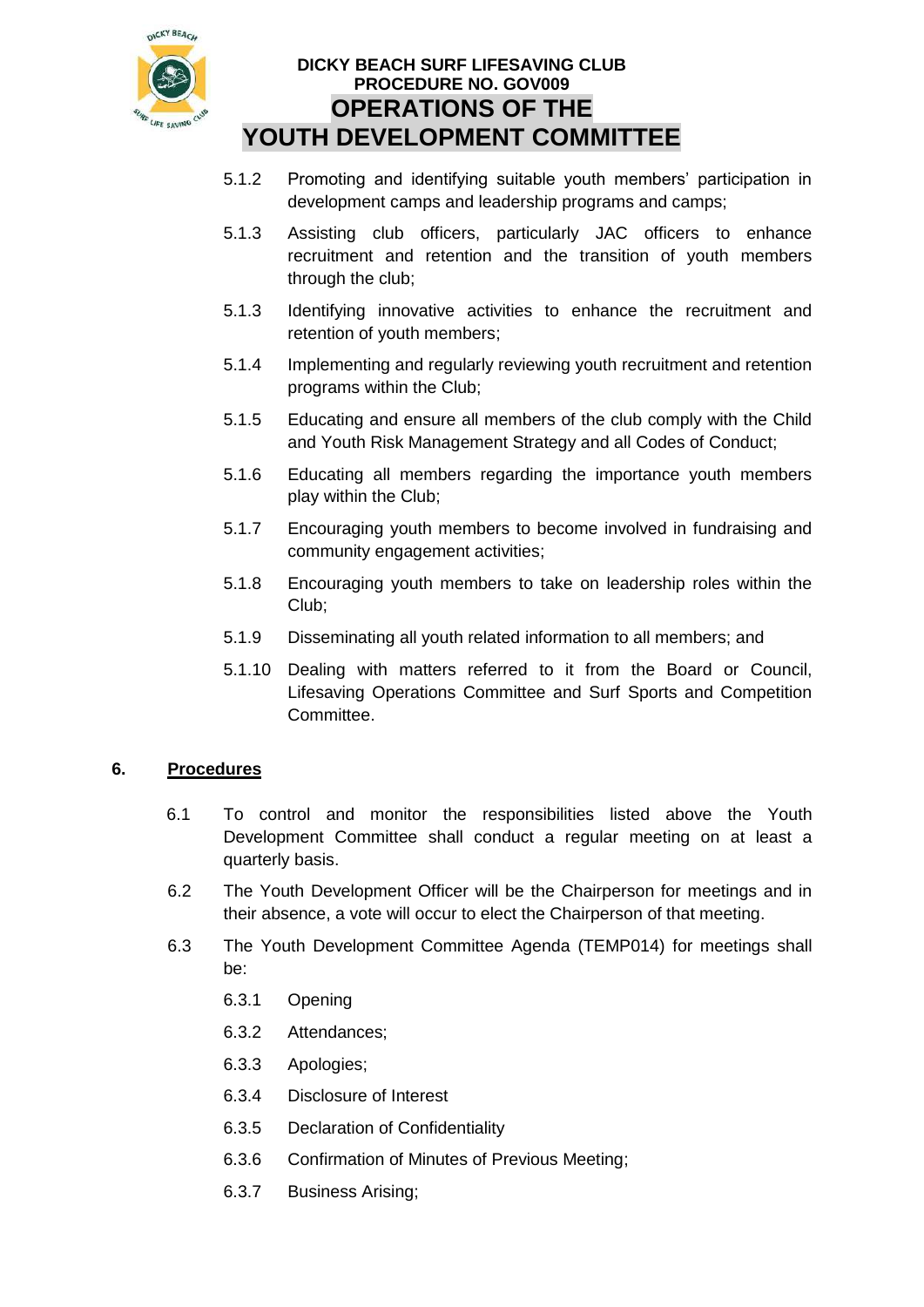

# **DICKY BEACH SURF LIFESAVING CLUB PROCEDURE NO. GOV009 OPERATIONS OF THE YOUTH DEVELOPMENT COMMITTEE**

- 5.1.2 Promoting and identifying suitable youth members' participation in development camps and leadership programs and camps;
- 5.1.3 Assisting club officers, particularly JAC officers to enhance recruitment and retention and the transition of youth members through the club;
- 5.1.3 Identifying innovative activities to enhance the recruitment and retention of youth members;
- 5.1.4 Implementing and regularly reviewing youth recruitment and retention programs within the Club;
- 5.1.5 Educating and ensure all members of the club comply with the Child and Youth Risk Management Strategy and all Codes of Conduct;
- 5.1.6 Educating all members regarding the importance youth members play within the Club;
- 5.1.7 Encouraging youth members to become involved in fundraising and community engagement activities;
- 5.1.8 Encouraging youth members to take on leadership roles within the Club;
- 5.1.9 Disseminating all youth related information to all members; and
- 5.1.10 Dealing with matters referred to it from the Board or Council, Lifesaving Operations Committee and Surf Sports and Competition Committee.

## **6. Procedures**

- 6.1 To control and monitor the responsibilities listed above the Youth Development Committee shall conduct a regular meeting on at least a quarterly basis.
- 6.2 The Youth Development Officer will be the Chairperson for meetings and in their absence, a vote will occur to elect the Chairperson of that meeting.
- 6.3 The Youth Development Committee Agenda (TEMP014) for meetings shall be:
	- 6.3.1 Opening
	- 6.3.2 Attendances;
	- 6.3.3 Apologies;
	- 6.3.4 Disclosure of Interest
	- 6.3.5 Declaration of Confidentiality
	- 6.3.6 Confirmation of Minutes of Previous Meeting;
	- 6.3.7 Business Arising;